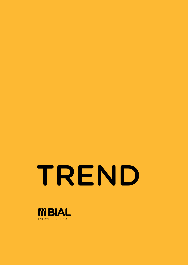# TREND

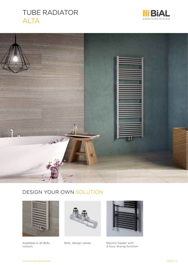# TUBE RADIATOR ALTA







Available in all BIAL colours





BIAL design valves Electric heater with 2-hour drying function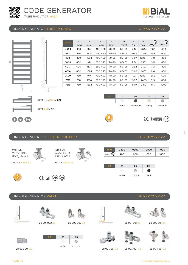



**CENTEED** (Fe)

#### ORDER GENERATOR TUBE RADIATOR **31 XXX YYYY ZZ**





#### ORDER GENERATOR ELECTRIC HEATER **26 XXX YYYY ZZ**

| typ ILS<br>230V, 50Hz,<br>IPX5, class II | typ ELS<br>230V, 50Hz,<br>IPX5, class I | YYYY<br>Watt $\mathbf Q$ | 0400<br>400 | 0600<br>600 | 0800<br>800 | 1000<br>1000 |
|------------------------------------------|-----------------------------------------|--------------------------|-------------|-------------|-------------|--------------|
| 26 005 YYYY ZZ                           | 26 006 YYYY ZZ                          | ZZ                       | 01          | 05          | 06          |              |
|                                          | 办                                       |                          | white       | chrome      | black       |              |

**<sup>G</sup>UARANTE<sup>E</sup>**

#### **ORDER GENERATOR VALVE 28 YOU CONTROLLER AND ALL CONTROLLER CONTROLLER AND LOCAL CONTROLLER CONTROLLER CONTROLLER**



28 006 001 ZZ

white chrome



28 005 001 ZZ 28 003 001 ZZ 28 004 001 ZZ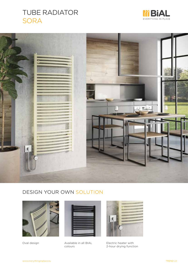# TUBE RADIATOR **SORA**









Oval design Available in all BIAL colours



Electric heater with 2-hour drying function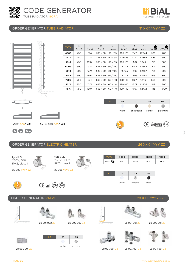







| O1    | 05     | 06    |
|-------|--------|-------|
|       |        |       |
| white | chrome | black |

**ORDER GENERATOR VALVE 28 YOU CONTROLLER AND CONTROLLER CONTROLLER CONTROLLER CONTROLLER CONTROLLER CONTROLLER** 28 001 002 ZZ 28 001 001 ZZ 50 28 002 002 ZZ28 002 001 ZZ Ĭ ZZ 01 05  $\sigma_{\rm c}$ 



**EVERYTHING IN PLACE** 



H

TREND 2.2

28 006 001 ZZ

IPX5, class II

**<sup>G</sup>UARANTE<sup>E</sup>**

26 005 YYYY ZZ 26 006 YYYY ZZ

 $\circledast$  ( $\circledast$   $\mathbb{I}$   $\mathbb{I}$ 

IPX5, class I

white chrome

















28 005 001 ZZ 28 003 001 ZZ 28 004 001 ZZ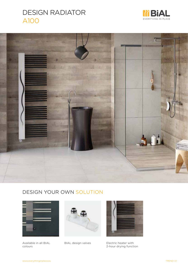# DESIGN RADIATOR A100





#### DESIGN YOUR OWN SOLUTION



Available in all BIAL colours





BIAL design valves Electric heater with 2-hour drying function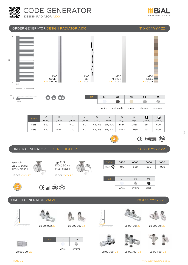







**<sup>G</sup>UARANTE<sup>E</sup>**

white anthracite sandy platinum

| <b>YYYY</b> | А    | H    | H1   | B    | ◡         | D          | m     | n      | Q      | G      |
|-------------|------|------|------|------|-----------|------------|-------|--------|--------|--------|
|             | (mm) | (mm) | (mm) | (mm) | (mm)      | (mm)       | (kg)  | exp.   | (Watt) | (Watt) |
| 5313        | 550  | 1374 | 1407 | 50   | 48/68     | 80/100     | 17.44 | 1.2836 | 614    | 600    |
| 5316        | 550  | 1694 | 1730 | 50   | 48/<br>68 | 100<br>80, | 20.67 | .2969  | 793    | 800    |

 $C \epsilon$  ENI $442$  $(Fe)$ 

chrome

#### ORDER GENERATOR ELECTRIC HEATER 26 XXX 26 XXX



| I ORDER GENERATOR VALVE |  |
|-------------------------|--|
|-------------------------|--|



 $\circ$ 

 $\overline{\phantom{0}}$  B

Ű.





white chrome

ZZ 01 05



28 001 002 ZZ 28 001 001 ZZ B 28 002 002 ZZ

 $\sigma_{\rm c}$ 









28 002 001 ZZ













28 XXX YYYY ZZ









www.everythinginplace.eu

01/20

28 006 001 ZZ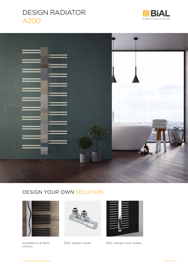







Available in all BIAL colours





BIAL design valves BIAL design cover masks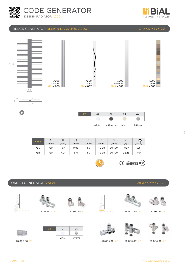



#### ORDER GENERATOR DESIGN RADIATOR A200 31 XXX YYYY ZZ





 $\bullet$ 

| ZZ | 01    | 02         | 03    | 04       |
|----|-------|------------|-------|----------|
|    |       |            |       |          |
|    | white | anthracite | sandy | platinum |

| <b>YYYY</b> | A    | Н    | H1   | B    | ◡     | D      | m     | Q      |
|-------------|------|------|------|------|-------|--------|-------|--------|
|             | (mm) | (mm) | (mm) | (mm) | (mm)  | (mm)   | (kg)  | (Watt) |
| 7513        | 750  | 1374 | 1485 | 50   | 48-68 | 80-100 | 18.27 | 625    |
| 7516        | 750  | 1694 | 1810 | 50   | 48-68 | 80-100 | 22.23 | 770    |

H

28 002 002 ZZ

 $\overline{c}$ 

white chrome

ZZ 01 05

**<sup>G</sup>UARANTE<sup>E</sup>**

**ORDER GENERATOR VALVE** 28 XXX YYYY ZZ









**CENTEER** (Fe)





























28 006 001 ZZ

Horsch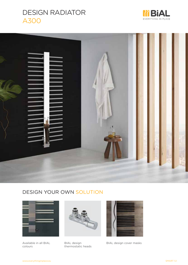# DESIGN RADIATOR A300





## DESIGN YOUR OWN SOLUTION



Available in all BIAL colours



BIAL design thermostatic heads



BIAL design cover masks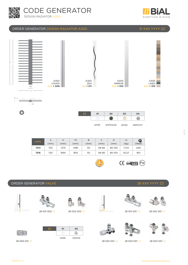



#### ORDER GENERATOR DESIGN RADIATOR A300 31 XXX YYYY ZZ





 $\bullet$ 

| ΖZ | 01    | 02         | 03    | 04       |  |
|----|-------|------------|-------|----------|--|
|    |       |            |       |          |  |
|    | white | anthracite | sandy | platinum |  |

| <b>YYYY</b> | A<br>(mm) | (mm) | H1<br>(mm) | B<br>(mm) | J<br>(mm) | D<br>(mm) | m<br>(kg) | Q<br>(Watt) |
|-------------|-----------|------|------------|-----------|-----------|-----------|-----------|-------------|
| 7513        | 750       | 1374 | 1485       | 50        | 48-68     | 80-100    | 17.34     | 646         |
| 7516        | 750       | 1694 | 1810       | 50        | 48-68     | 80-100    | 20,27     | 801         |

28 002 002 ZZ

 $\overline{c}$ 

white chrome

ZZ 01 05

 $\overline{\mathbf{5}}$ 







































28 006 001 ZZ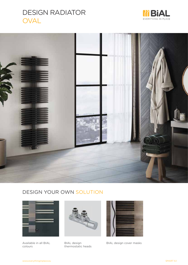# DESIGN RADIATOR OVAL







Available in all BIAL colours



BIAL design thermostatic heads



BIAL design cover masks